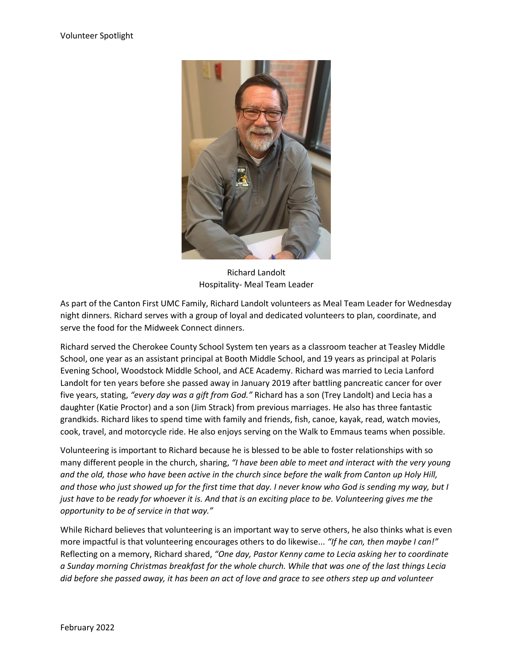

Richard Landolt Hospitality- Meal Team Leader

As part of the Canton First UMC Family, Richard Landolt volunteers as Meal Team Leader for Wednesday night dinners. Richard serves with a group of loyal and dedicated volunteers to plan, coordinate, and serve the food for the Midweek Connect dinners.

Richard served the Cherokee County School System ten years as a classroom teacher at Teasley Middle School, one year as an assistant principal at Booth Middle School, and 19 years as principal at Polaris Evening School, Woodstock Middle School, and ACE Academy. Richard was married to Lecia Lanford Landolt for ten years before she passed away in January 2019 after battling pancreatic cancer for over five years, stating, *"every day was a gift from God."* Richard has a son (Trey Landolt) and Lecia has a daughter (Katie Proctor) and a son (Jim Strack) from previous marriages. He also has three fantastic grandkids. Richard likes to spend time with family and friends, fish, canoe, kayak, read, watch movies, cook, travel, and motorcycle ride. He also enjoys serving on the Walk to Emmaus teams when possible.

Volunteering is important to Richard because he is blessed to be able to foster relationships with so many different people in the church, sharing, *"I have been able to meet and interact with the very young and the old, those who have been active in the church since before the walk from Canton up Holy Hill, and those who just showed up for the first time that day. I never know who God is sending my way, but I just have to be ready for whoever it is. And that is an exciting place to be. Volunteering gives me the opportunity to be of service in that way."*

While Richard believes that volunteering is an important way to serve others, he also thinks what is even more impactful is that volunteering encourages others to do likewise... *"If he can, then maybe I can!"* Reflecting on a memory, Richard shared, *"One day, Pastor Kenny came to Lecia asking her to coordinate a Sunday morning Christmas breakfast for the whole church. While that was one of the last things Lecia did before she passed away, it has been an act of love and grace to see others step up and volunteer*